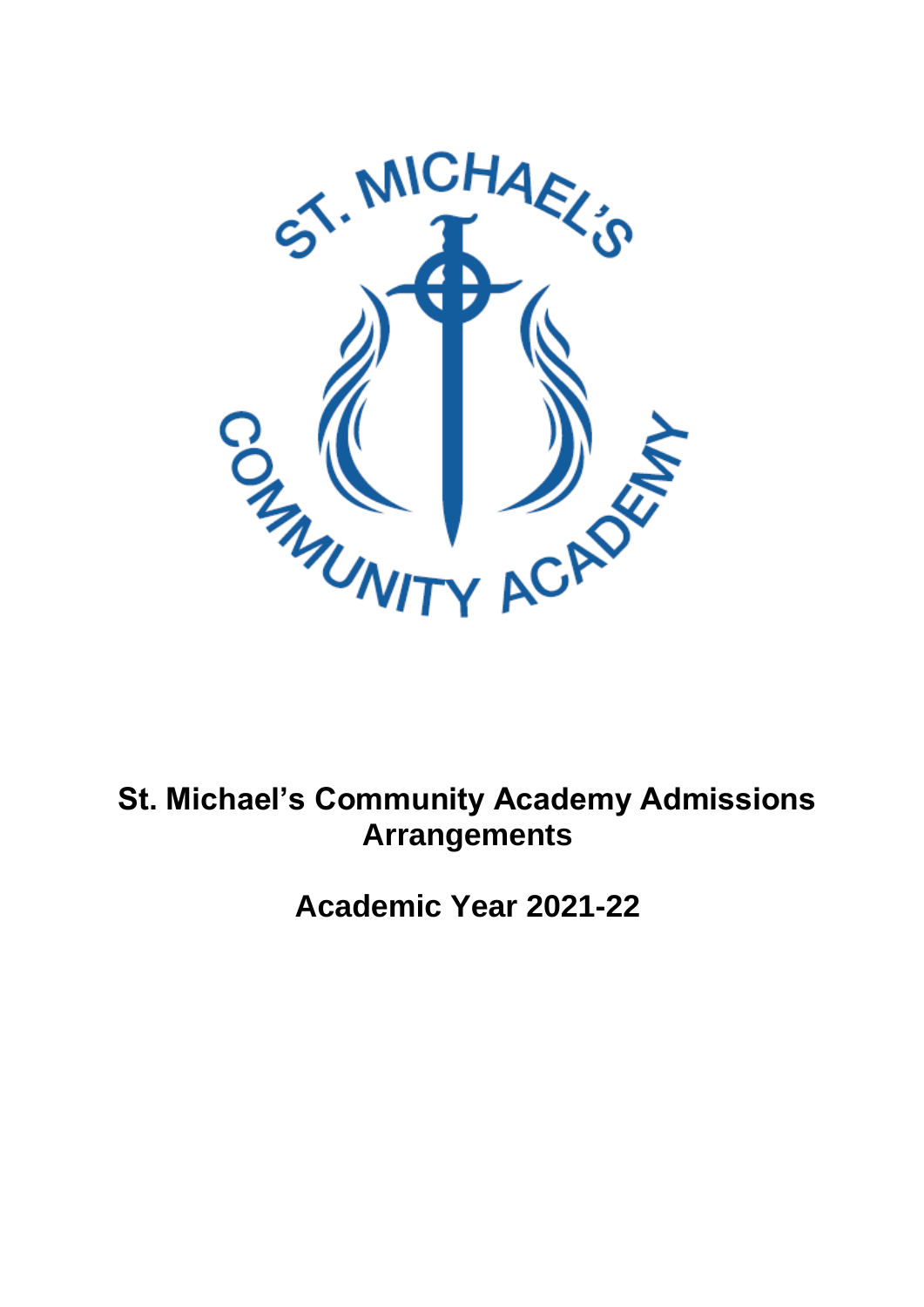

# **St. Michael's Community Academy Admissions Arrangements**

**Academic Year 2021-22**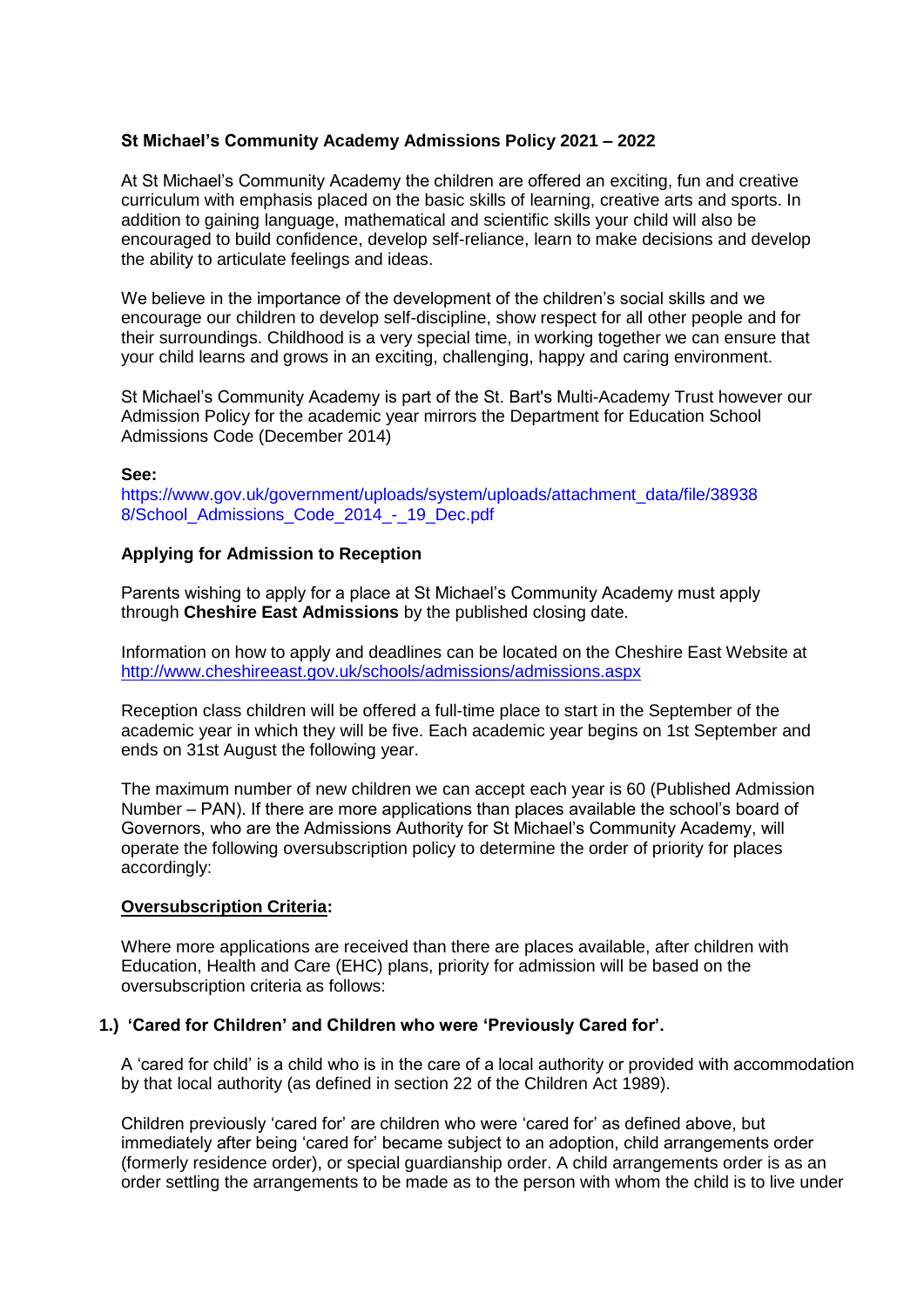# **St Michael's Community Academy Admissions Policy 2021 – 2022**

At St Michael's Community Academy the children are offered an exciting, fun and creative curriculum with emphasis placed on the basic skills of learning, creative arts and sports. In addition to gaining language, mathematical and scientific skills your child will also be encouraged to build confidence, develop self-reliance, learn to make decisions and develop the ability to articulate feelings and ideas.

We believe in the importance of the development of the children's social skills and we encourage our children to develop self-discipline, show respect for all other people and for their surroundings. Childhood is a very special time, in working together we can ensure that your child learns and grows in an exciting, challenging, happy and caring environment.

St Michael's Community Academy is part of the St. Bart's Multi-Academy Trust however our Admission Policy for the academic year mirrors the Department for Education School Admissions Code (December 2014)

### **See:**

https://www.gov.uk/government/uploads/system/uploads/attachment\_data/file/38938 8/School\_Admissions\_Code\_2014\_-\_19\_Dec.pdf

# **Applying for Admission to Reception**

Parents wishing to apply for a place at St Michael's Community Academy must apply through **Cheshire East Admissions** by the published closing date.

Information on how to apply and deadlines can be located on the Cheshire East Website at <http://www.cheshireeast.gov.uk/schools/admissions/admissions.aspx>

Reception class children will be offered a full-time place to start in the September of the academic year in which they will be five. Each academic year begins on 1st September and ends on 31st August the following year.

The maximum number of new children we can accept each year is 60 (Published Admission Number – PAN). If there are more applications than places available the school's board of Governors, who are the Admissions Authority for St Michael's Community Academy, will operate the following oversubscription policy to determine the order of priority for places accordingly:

#### **Oversubscription Criteria:**

Where more applications are received than there are places available, after children with Education, Health and Care (EHC) plans, priority for admission will be based on the oversubscription criteria as follows:

# **1.) 'Cared for Children' and Children who were 'Previously Cared for'.**

A 'cared for child' is a child who is in the care of a local authority or provided with accommodation by that local authority (as defined in section 22 of the Children Act 1989).

Children previously 'cared for' are children who were 'cared for' as defined above, but immediately after being 'cared for' became subject to an adoption, child arrangements order (formerly residence order), or special guardianship order. A child arrangements order is as an order settling the arrangements to be made as to the person with whom the child is to live under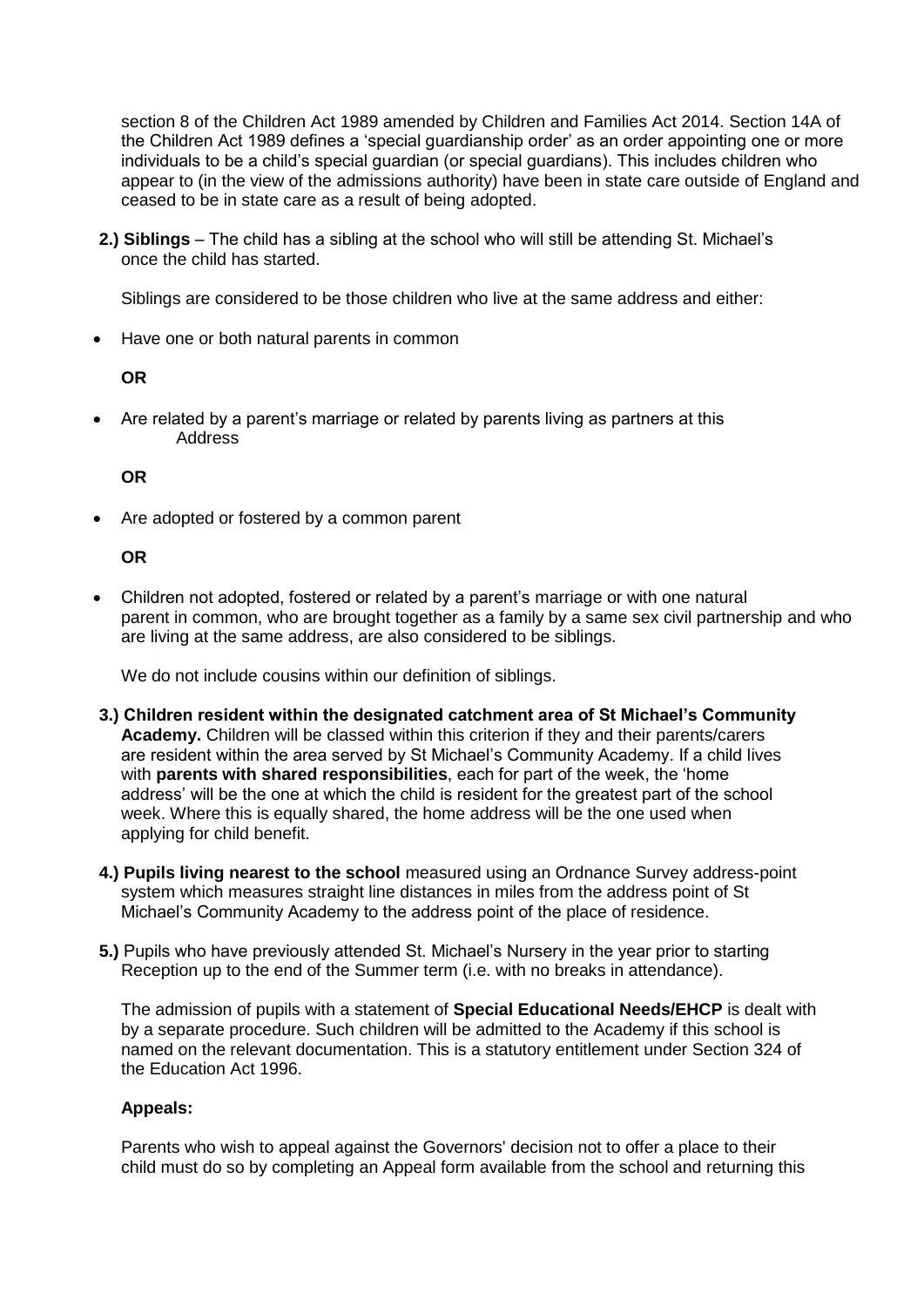section 8 of the Children Act 1989 amended by Children and Families Act 2014. Section 14A of the Children Act 1989 defines a 'special guardianship order' as an order appointing one or more individuals to be a child's special guardian (or special guardians). This includes children who appear to (in the view of the admissions authority) have been in state care outside of England and ceased to be in state care as a result of being adopted.

**2.) Siblings** – The child has a sibling at the school who will still be attending St. Michael's once the child has started.

Siblings are considered to be those children who live at the same address and either:

• Have one or both natural parents in common

**OR**

 Are related by a parent's marriage or related by parents living as partners at this Address

**OR**

Are adopted or fostered by a common parent

**OR**

 Children not adopted, fostered or related by a parent's marriage or with one natural parent in common, who are brought together as a family by a same sex civil partnership and who are living at the same address, are also considered to be siblings.

We do not include cousins within our definition of siblings.

- **3.) Children resident within the designated catchment area of St Michael's Community Academy.** Children will be classed within this criterion if they and their parents/carers are resident within the area served by St Michael's Community Academy. If a child lives with **parents with shared responsibilities**, each for part of the week, the 'home address' will be the one at which the child is resident for the greatest part of the school week. Where this is equally shared, the home address will be the one used when applying for child benefit.
- **4.) Pupils living nearest to the school** measured using an Ordnance Survey address-point system which measures straight line distances in miles from the address point of St Michael's Community Academy to the address point of the place of residence.
- **5.)** Pupils who have previously attended St. Michael's Nursery in the year prior to starting Reception up to the end of the Summer term (i.e. with no breaks in attendance).

The admission of pupils with a statement of **Special Educational Needs/EHCP** is dealt with by a separate procedure. Such children will be admitted to the Academy if this school is named on the relevant documentation. This is a statutory entitlement under Section 324 of the Education Act 1996.

#### **Appeals:**

Parents who wish to appeal against the Governors' decision not to offer a place to their child must do so by completing an Appeal form available from the school and returning this